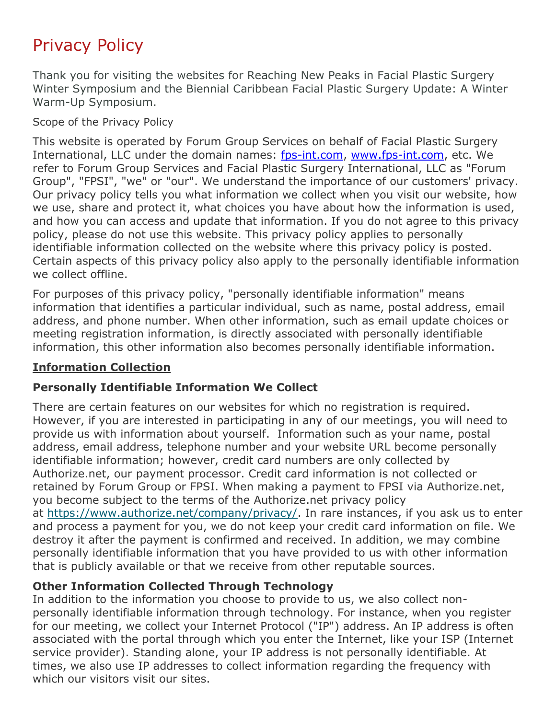# Privacy Policy

Thank you for visiting the websites for Reaching New Peaks in Facial Plastic Surgery Winter Symposium and the Biennial Caribbean Facial Plastic Surgery Update: A Winter Warm-Up Symposium.

Scope of the Privacy Policy

This website is operated by Forum Group Services on behalf of Facial Plastic Surgery International, LLC under the domain names: [fps-int.com,](fps-int.com) [www.fps-int.com,](www.fps-int.com) etc. We refer to Forum Group Services and Facial Plastic Surgery International, LLC as "Forum Group", "FPSI", "we" or "our". We understand the importance of our customers' privacy. Our privacy policy tells you what information we collect when you visit our website, how we use, share and protect it, what choices you have about how the information is used, and how you can access and update that information. If you do not agree to this privacy policy, please do not use this website. This privacy policy applies to personally identifiable information collected on the website where this privacy policy is posted. Certain aspects of this privacy policy also apply to the personally identifiable information we collect offline.

For purposes of this privacy policy, "personally identifiable information" means information that identifies a particular individual, such as name, postal address, email address, and phone number. When other information, such as email update choices or meeting registration information, is directly associated with personally identifiable information, this other information also becomes personally identifiable information.

#### **Information Collection**

#### **Personally Identifiable Information We Collect**

There are certain features on our websites for which no registration is required. However, if you are interested in participating in any of our meetings, you will need to provide us with information about yourself. Information such as your name, postal address, email address, telephone number and your website URL become personally identifiable information; however, credit card numbers are only collected by Authorize.net, our payment processor. Credit card information is not collected or retained by Forum Group or FPSI. When making a payment to FPSI via Authorize.net, you become subject to the terms of the Authorize.net privacy policy at [https://www.authorize.net/company/privacy/.](https://www.authorize.net/company/privacy/) In rare instances, if you ask us to enter and process a payment for you, we do not keep your credit card information on file. We destroy it after the payment is confirmed and received. In addition, we may combine personally identifiable information that you have provided to us with other information that is publicly available or that we receive from other reputable sources.

#### **Other Information Collected Through Technology**

In addition to the information you choose to provide to us, we also collect nonpersonally identifiable information through technology. For instance, when you register for our meeting, we collect your Internet Protocol ("IP") address. An IP address is often associated with the portal through which you enter the Internet, like your ISP (Internet service provider). Standing alone, your IP address is not personally identifiable. At times, we also use IP addresses to collect information regarding the frequency with which our visitors visit our sites.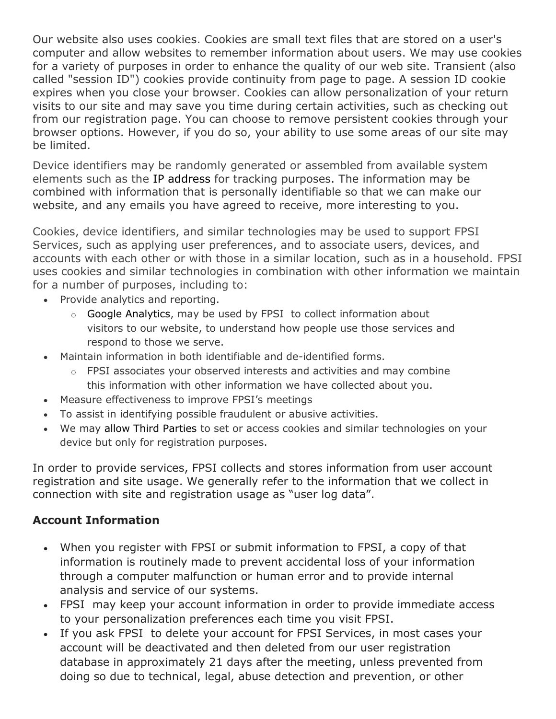Our website also uses cookies. Cookies are small text files that are stored on a user's computer and allow websites to remember information about users. We may use cookies for a variety of purposes in order to enhance the quality of our web site. Transient (also called "session ID") cookies provide continuity from page to page. A session ID cookie expires when you close your browser. Cookies can allow personalization of your return visits to our site and may save you time during certain activities, such as checking out from our registration page. You can choose to remove persistent cookies through your browser options. However, if you do so, your ability to use some areas of our site may be limited.

Device identifiers may be randomly generated or assembled from available system elements such as the IP address for tracking purposes. The information may be combined with information that is personally identifiable so that we can make our website, and any emails you have agreed to receive, more interesting to you.

Cookies, device identifiers, and similar technologies may be used to support FPSI Services, such as applying user preferences, and to associate users, devices, and accounts with each other or with those in a similar location, such as in a household. FPSI uses cookies and similar technologies in combination with other information we maintain for a number of purposes, including to:

- Provide analytics and reporting.
	- o Google Analytics, may be used by FPSI to collect information about visitors to our website, to understand how people use those services and respond to those we serve.
- Maintain information in both identifiable and de-identified forms.
	- $\circ$  FPSI associates your observed interests and activities and may combine this information with other information we have collected about you.
- Measure effectiveness to improve FPSI's meetings
- To assist in identifying possible fraudulent or abusive activities.
- We may allow Third Parties to set or access cookies and similar technologies on your device but only for registration purposes.

In order to provide services, FPSI collects and stores information from user account registration and site usage. We generally refer to the information that we collect in connection with site and registration usage as "user log data".

## **Account Information**

- When you register with FPSI or submit information to FPSI, a copy of that information is routinely made to prevent accidental loss of your information through a computer malfunction or human error and to provide internal analysis and service of our systems.
- FPSI may keep your account information in order to provide immediate access to your personalization preferences each time you visit FPSI.
- If you ask FPSI to delete your account for FPSI Services, in most cases your account will be deactivated and then deleted from our user registration database in approximately 21 days after the meeting, unless prevented from doing so due to technical, legal, abuse detection and prevention, or other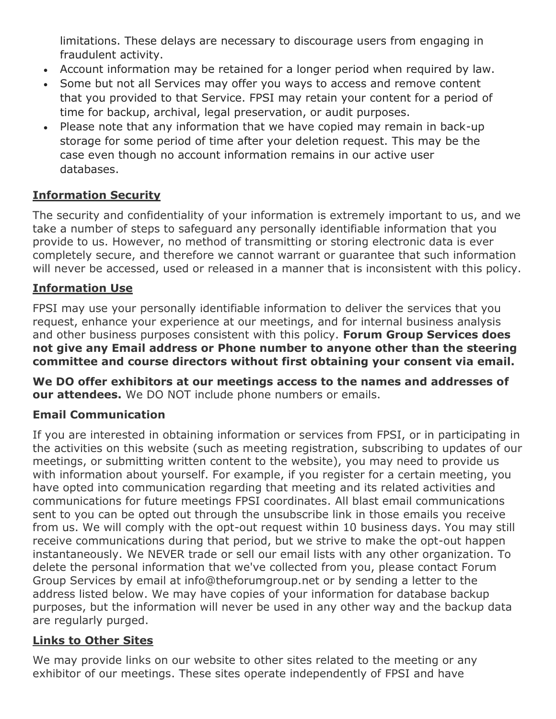limitations. These delays are necessary to discourage users from engaging in fraudulent activity.

- Account information may be retained for a longer period when required by law.
- Some but not all Services may offer you ways to access and remove content that you provided to that Service. FPSI may retain your content for a period of time for backup, archival, legal preservation, or audit purposes.
- Please note that any information that we have copied may remain in back-up storage for some period of time after your deletion request. This may be the case even though no account information remains in our active user databases.

### **Information Security**

The security and confidentiality of your information is extremely important to us, and we take a number of steps to safeguard any personally identifiable information that you provide to us. However, no method of transmitting or storing electronic data is ever completely secure, and therefore we cannot warrant or guarantee that such information will never be accessed, used or released in a manner that is inconsistent with this policy.

#### **Information Use**

FPSI may use your personally identifiable information to deliver the services that you request, enhance your experience at our meetings, and for internal business analysis and other business purposes consistent with this policy. **Forum Group Services does not give any Email address or Phone number to anyone other than the steering committee and course directors without first obtaining your consent via email.**

**We DO offer exhibitors at our meetings access to the names and addresses of our attendees.** We DO NOT include phone numbers or emails.

#### **Email Communication**

If you are interested in obtaining information or services from FPSI, or in participating in the activities on this website (such as meeting registration, subscribing to updates of our meetings, or submitting written content to the website), you may need to provide us with information about yourself. For example, if you register for a certain meeting, you have opted into communication regarding that meeting and its related activities and communications for future meetings FPSI coordinates. All blast email communications sent to you can be opted out through the unsubscribe link in those emails you receive from us. We will comply with the opt-out request within 10 business days. You may still receive communications during that period, but we strive to make the opt-out happen instantaneously. We NEVER trade or sell our email lists with any other organization. To delete the personal information that we've collected from you, please contact Forum Group Services by email at info@theforumgroup.net or by sending a letter to the address listed below. We may have copies of your information for database backup purposes, but the information will never be used in any other way and the backup data are regularly purged.

#### **Links to Other Sites**

We may provide links on our website to other sites related to the meeting or any exhibitor of our meetings. These sites operate independently of FPSI and have